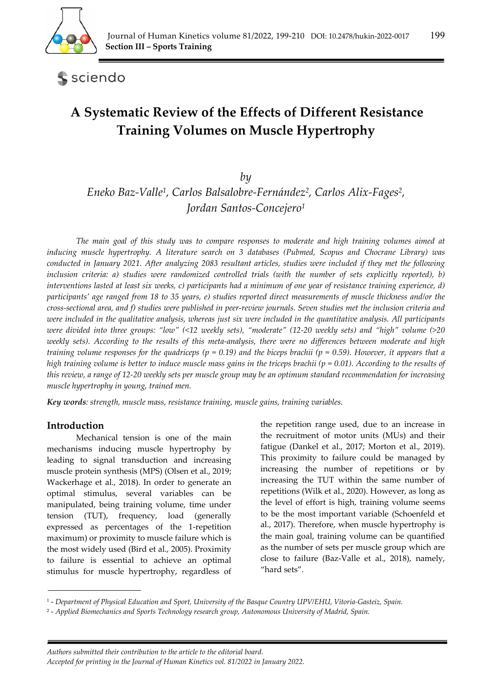

sciendo

# **A Systematic Review of the Effects of Different Resistance Training Volumes on Muscle Hypertrophy**

## *by*

*Eneko Baz-Valle1, Carlos Balsalobre-Fernández2, Carlos Alix-Fages2, Jordan Santos-Concejero1*

*The main goal of this study was to compare responses to moderate and high training volumes aimed at inducing muscle hypertrophy. A literature search on 3 databases (Pubmed, Scopus and Chocrane Library) was conducted in January 2021. After analyzing 2083 resultant articles, studies were included if they met the following inclusion criteria: a) studies were randomized controlled trials (with the number of sets explicitly reported), b) interventions lasted at least six weeks, c) participants had a minimum of one year of resistance training experience, d) participants' age ranged from 18 to 35 years, e) studies reported direct measurements of muscle thickness and/or the cross-sectional area, and f) studies were published in peer-review journals. Seven studies met the inclusion criteria and were included in the qualitative analysis, whereas just six were included in the quantitative analysis. All participants were divided into three groups: "low" (<12 weekly sets), "moderate" (12-20 weekly sets) and "high" volume (>20 weekly sets). According to the results of this meta-analysis, there were no differences between moderate and high training volume responses for the quadriceps (p = 0.19) and the biceps brachii (p = 0.59). However, it appears that a high training volume is better to induce muscle mass gains in the triceps brachii (p = 0.01). According to the results of this review, a range of 12-20 weekly sets per muscle group may be an optimum standard recommendation for increasing muscle hypertrophy in young, trained men.* 

*Key words: strength, muscle mass, resistance training, muscle gains, training variables.* 

## **Introduction**

Mechanical tension is one of the main mechanisms inducing muscle hypertrophy by leading to signal transduction and increasing muscle protein synthesis (MPS) (Olsen et al., 2019; Wackerhage et al., 2018). In order to generate an optimal stimulus, several variables can be manipulated, being training volume, time under tension (TUT), frequency, load (generally expressed as percentages of the 1-repetition maximum) or proximity to muscle failure which is the most widely used (Bird et al., 2005). Proximity to failure is essential to achieve an optimal stimulus for muscle hypertrophy, regardless of the repetition range used, due to an increase in the recruitment of motor units (MUs) and their fatigue (Dankel et al., 2017; Morton et al., 2019). This proximity to failure could be managed by increasing the number of repetitions or by increasing the TUT within the same number of repetitions (Wilk et al., 2020). However, as long as the level of effort is high, training volume seems to be the most important variable (Schoenfeld et al., 2017). Therefore, when muscle hypertrophy is the main goal, training volume can be quantified as the number of sets per muscle group which are close to failure (Baz-Valle et al., 2018), namely, "hard sets".

<sup>1 -</sup> *Department of Physical Education and Sport, University of the Basque Country UPV/EHU, Vitoria-Gasteiz, Spain.* 

<sup>2 -</sup> *Applied Biomechanics and Sports Technology research group, Autonomous University of Madrid, Spain.*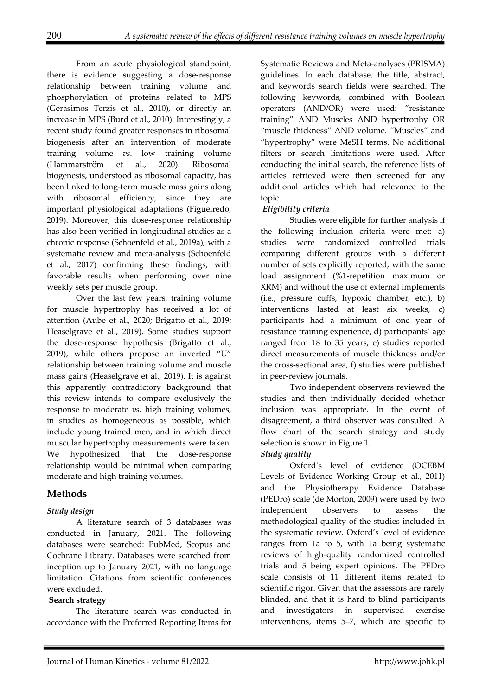From an acute physiological standpoint, there is evidence suggesting a dose-response relationship between training volume and phosphorylation of proteins related to MPS (Gerasimos Terzis et al., 2010), or directly an increase in MPS (Burd et al., 2010). Interestingly, a recent study found greater responses in ribosomal biogenesis after an intervention of moderate training volume *vs*. low training volume (Hammarström et al., 2020). Ribosomal biogenesis, understood as ribosomal capacity, has been linked to long-term muscle mass gains along with ribosomal efficiency, since they are important physiological adaptations (Figueiredo, 2019). Moreover, this dose-response relationship has also been verified in longitudinal studies as a chronic response (Schoenfeld et al., 2019a), with a systematic review and meta-analysis (Schoenfeld et al., 2017) confirming these findings, with favorable results when performing over nine weekly sets per muscle group.

 Over the last few years, training volume for muscle hypertrophy has received a lot of attention (Aube et al., 2020; Brigatto et al., 2019; Heaselgrave et al., 2019). Some studies support the dose-response hypothesis (Brigatto et al., 2019), while others propose an inverted "U" relationship between training volume and muscle mass gains (Heaselgrave et al., 2019). It is against this apparently contradictory background that this review intends to compare exclusively the response to moderate *vs*. high training volumes, in studies as homogeneous as possible, which include young trained men, and in which direct muscular hypertrophy measurements were taken. We hypothesized that the dose-response relationship would be minimal when comparing moderate and high training volumes.

## **Methods**

#### *Study design*

 A literature search of 3 databases was conducted in January, 2021. The following databases were searched: PubMed, Scopus and Cochrane Library. Databases were searched from inception up to January 2021, with no language limitation. Citations from scientific conferences were excluded.

#### **Search strategy**

 The literature search was conducted in accordance with the Preferred Reporting Items for

Systematic Reviews and Meta-analyses (PRISMA) guidelines. In each database, the title, abstract, and keywords search fields were searched. The following keywords, combined with Boolean operators (AND/OR) were used: "resistance training" AND Muscles AND hypertrophy OR "muscle thickness" AND volume. "Muscles" and "hypertrophy" were MeSH terms. No additional filters or search limitations were used. After conducting the initial search, the reference lists of articles retrieved were then screened for any additional articles which had relevance to the topic.

#### *Eligibility criteria*

 Studies were eligible for further analysis if the following inclusion criteria were met: a) studies were randomized controlled trials comparing different groups with a different number of sets explicitly reported, with the same load assignment (%1-repetition maximum or XRM) and without the use of external implements (i.e., pressure cuffs, hypoxic chamber, etc.), b) interventions lasted at least six weeks, c) participants had a minimum of one year of resistance training experience, d) participants' age ranged from 18 to 35 years, e) studies reported direct measurements of muscle thickness and/or the cross-sectional area, f) studies were published in peer-review journals.

 Two independent observers reviewed the studies and then individually decided whether inclusion was appropriate. In the event of disagreement, a third observer was consulted. A flow chart of the search strategy and study selection is shown in Figure 1.

## *Study quality*

 Oxford's level of evidence (OCEBM Levels of Evidence Working Group et al., 2011) and the Physiotherapy Evidence Database (PEDro) scale (de Morton, 2009) were used by two independent observers to assess the methodological quality of the studies included in the systematic review. Oxford's level of evidence ranges from 1a to 5, with 1a being systematic reviews of high-quality randomized controlled trials and 5 being expert opinions. The PEDro scale consists of 11 different items related to scientific rigor. Given that the assessors are rarely blinded, and that it is hard to blind participants and investigators in supervised exercise interventions, items 5–7, which are specific to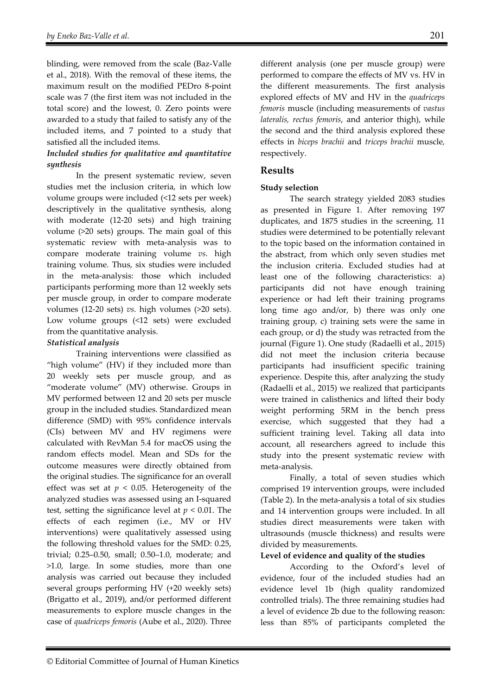blinding, were removed from the scale (Baz-Valle et al., 2018). With the removal of these items, the maximum result on the modified PEDro 8-point scale was 7 (the first item was not included in the total score) and the lowest, 0. Zero points were awarded to a study that failed to satisfy any of the included items, and 7 pointed to a study that satisfied all the included items.

#### *Included studies for qualitative and quantitative synthesis*

 In the present systematic review, seven studies met the inclusion criteria, in which low volume groups were included (<12 sets per week) descriptively in the qualitative synthesis, along with moderate (12-20 sets) and high training volume (>20 sets) groups. The main goal of this systematic review with meta-analysis was to compare moderate training volume *vs*. high training volume. Thus, six studies were included in the meta-analysis: those which included participants performing more than 12 weekly sets per muscle group, in order to compare moderate volumes (12-20 sets) *vs*. high volumes (>20 sets). Low volume groups (<12 sets) were excluded from the quantitative analysis.

#### *Statistical analysis*

Training interventions were classified as "high volume" (HV) if they included more than 20 weekly sets per muscle group, and as "moderate volume" (MV) otherwise. Groups in MV performed between 12 and 20 sets per muscle group in the included studies. Standardized mean difference (SMD) with 95% confidence intervals (CIs) between MV and HV regimens were calculated with RevMan 5.4 for macOS using the random effects model. Mean and SDs for the outcome measures were directly obtained from the original studies. The significance for an overall effect was set at  $p < 0.05$ . Heterogeneity of the analyzed studies was assessed using an I-squared test, setting the significance level at  $p < 0.01$ . The effects of each regimen (i.e., MV or HV interventions) were qualitatively assessed using the following threshold values for the SMD: 0.25, trivial; 0.25–0.50, small; 0.50–1.0, moderate; and >1.0, large. In some studies, more than one analysis was carried out because they included several groups performing HV (+20 weekly sets) (Brigatto et al., 2019), and/or performed different measurements to explore muscle changes in the case of *quadriceps femoris* (Aube et al., 2020). Three

different analysis (one per muscle group) were performed to compare the effects of MV vs. HV in the different measurements. The first analysis explored effects of MV and HV in the *quadriceps femoris* muscle (including measurements of *vastus lateralis, rectus femoris*, and anterior thigh), while the second and the third analysis explored these effects in *biceps brachii* and *triceps brachii* muscle*,*  respectively.

## **Results**

#### **Study selection**

 The search strategy yielded 2083 studies as presented in Figure 1. After removing 197 duplicates, and 1875 studies in the screening, 11 studies were determined to be potentially relevant to the topic based on the information contained in the abstract, from which only seven studies met the inclusion criteria. Excluded studies had at least one of the following characteristics: a) participants did not have enough training experience or had left their training programs long time ago and/or, b) there was only one training group, c) training sets were the same in each group, or d) the study was retracted from the journal (Figure 1). One study (Radaelli et al., 2015) did not meet the inclusion criteria because participants had insufficient specific training experience. Despite this, after analyzing the study (Radaelli et al., 2015) we realized that participants were trained in calisthenics and lifted their body weight performing 5RM in the bench press exercise, which suggested that they had a sufficient training level. Taking all data into account, all researchers agreed to include this study into the present systematic review with meta-analysis.

 Finally, a total of seven studies which comprised 19 intervention groups, were included (Table 2). In the meta-analysis a total of six studies and 14 intervention groups were included. In all studies direct measurements were taken with ultrasounds (muscle thickness) and results were divided by measurements.

#### **Level of evidence and quality of the studies**

 According to the Oxford's level of evidence, four of the included studies had an evidence level 1b (high quality randomized controlled trials). The three remaining studies had a level of evidence 2b due to the following reason: less than 85% of participants completed the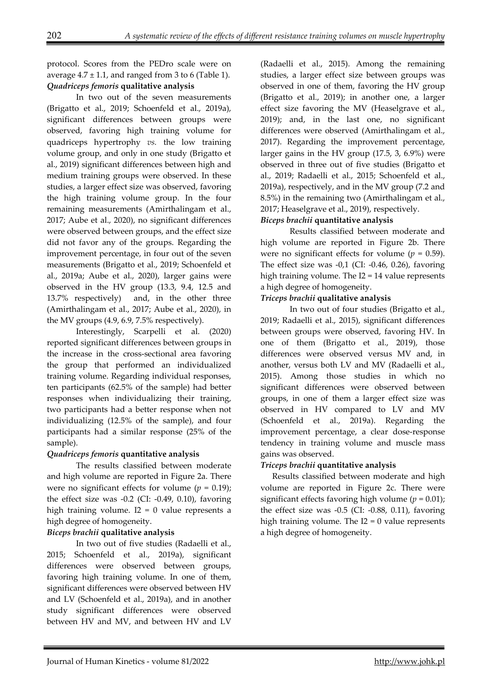protocol. Scores from the PEDro scale were on average  $4.7 \pm 1.1$ , and ranged from 3 to 6 (Table 1). *Quadriceps femoris* **qualitative analysis**

 In two out of the seven measurements (Brigatto et al., 2019; Schoenfeld et al., 2019a), significant differences between groups were observed, favoring high training volume for quadriceps hypertrophy *vs.* the low training volume group, and only in one study (Brigatto et al., 2019) significant differences between high and medium training groups were observed. In these studies, a larger effect size was observed, favoring the high training volume group. In the four remaining measurements (Amirthalingam et al., 2017; Aube et al., 2020), no significant differences were observed between groups, and the effect size did not favor any of the groups. Regarding the improvement percentage, in four out of the seven measurements (Brigatto et al., 2019; Schoenfeld et al., 2019a; Aube et al., 2020), larger gains were observed in the HV group (13.3, 9.4, 12.5 and 13.7% respectively) and, in the other three (Amirthalingam et al., 2017; Aube et al., 2020), in the MV groups (4.9, 6.9, 7.5% respectively).

 Interestingly, Scarpelli et al. (2020) reported significant differences between groups in the increase in the cross-sectional area favoring the group that performed an individualized training volume. Regarding individual responses, ten participants (62.5% of the sample) had better responses when individualizing their training, two participants had a better response when not individualizing (12.5% of the sample), and four participants had a similar response (25% of the sample).

#### *Quadriceps femoris* **quantitative analysis**

 The results classified between moderate and high volume are reported in Figure 2a. There were no significant effects for volume  $(p = 0.19)$ ; the effect size was -0.2 (CI: -0.49, 0.10), favoring high training volume.  $I2 = 0$  value represents a high degree of homogeneity.

#### *Biceps brachii* **qualitative analysis**

 In two out of five studies (Radaelli et al., 2015; Schoenfeld et al., 2019a), significant differences were observed between groups, favoring high training volume. In one of them, significant differences were observed between HV and LV (Schoenfeld et al., 2019a), and in another study significant differences were observed between HV and MV, and between HV and LV

(Radaelli et al., 2015). Among the remaining studies, a larger effect size between groups was observed in one of them, favoring the HV group (Brigatto et al., 2019); in another one, a larger effect size favoring the MV (Heaselgrave et al., 2019); and, in the last one, no significant differences were observed (Amirthalingam et al., 2017). Regarding the improvement percentage, larger gains in the HV group (17.5, 3, 6.9%) were observed in three out of five studies (Brigatto et al., 2019; Radaelli et al., 2015; Schoenfeld et al., 2019a), respectively, and in the MV group (7.2 and 8.5%) in the remaining two (Amirthalingam et al., 2017; Heaselgrave et al., 2019), respectively.

#### *Biceps brachii* **quantitative analysis**

 Results classified between moderate and high volume are reported in Figure 2b. There were no significant effects for volume  $(p = 0.59)$ . The effect size was  $-0.1$  (CI:  $-0.46$ , 0.26), favoring high training volume. The I2 = 14 value represents a high degree of homogeneity.

#### *Triceps brachii* **qualitative analysis**

 In two out of four studies (Brigatto et al., 2019; Radaelli et al., 2015), significant differences between groups were observed, favoring HV. In one of them (Brigatto et al., 2019), those differences were observed versus MV and, in another, versus both LV and MV (Radaelli et al., 2015). Among those studies in which no significant differences were observed between groups, in one of them a larger effect size was observed in HV compared to LV and MV (Schoenfeld et al., 2019a). Regarding the improvement percentage, a clear dose-response tendency in training volume and muscle mass gains was observed.

#### *Triceps brachii* **quantitative analysis**

Results classified between moderate and high volume are reported in Figure 2c. There were significant effects favoring high volume  $(p = 0.01)$ ; the effect size was -0.5 (CI: -0.88, 0.11), favoring high training volume. The  $I2 = 0$  value represents a high degree of homogeneity.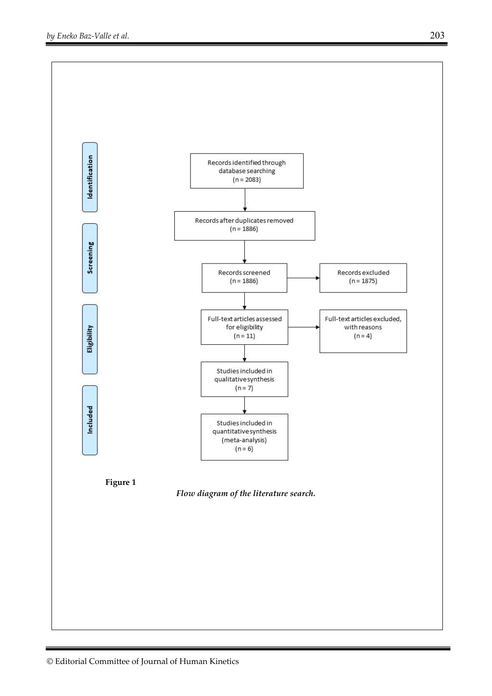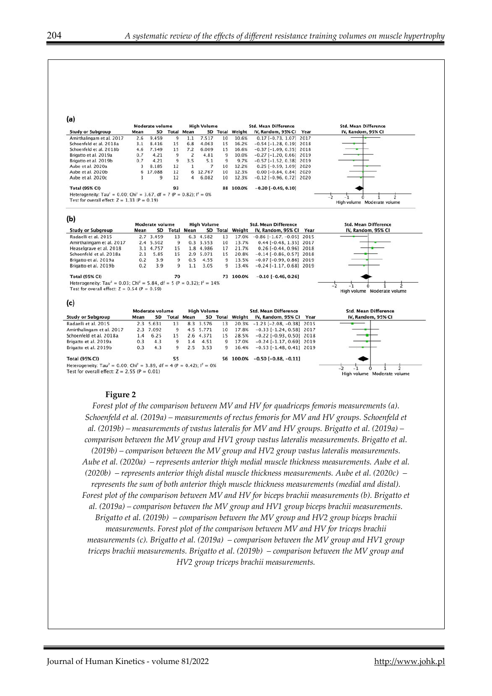| (a)                                                                                                     | <b>Moderate volume</b><br><b>High Volume</b><br><b>Std. Mean Difference</b> |                 |                    |                   |                    |                             |                 |                                    | <b>Std. Mean Difference</b> |                                   |  |  |
|---------------------------------------------------------------------------------------------------------|-----------------------------------------------------------------------------|-----------------|--------------------|-------------------|--------------------|-----------------------------|-----------------|------------------------------------|-----------------------------|-----------------------------------|--|--|
| <b>Study or Subgroup</b>                                                                                | Mean                                                                        | SD.             | <b>Total Mean</b>  |                   |                    |                             | SD Total Weight | IV, Random, 95% CI Year            |                             | IV, Random, 95% CI                |  |  |
| Amirthalingam et al. 2017                                                                               | 2.6                                                                         | 9.459           | $\mathbf{Q}$       | 1.1               | 7.517              | 10                          | 10.6%           | $0.17$ [-0.73, 1.07] 2017          |                             |                                   |  |  |
| Schoenfeld et al. 2018a                                                                                 | 3.1                                                                         | 8.416           | 15                 | 6.8               | 4.063              | 15                          | 16.2%           | $-0.54$ [ $-1.28$ , 0.19] 2018     |                             |                                   |  |  |
| Schoenfeld et al. 2018b                                                                                 | 4.6                                                                         | 7.549           | 15                 | 7.2               | 6.009              | 15                          | 16.6%           | $-0.37$ [ $-1.09$ , 0.35] 2018     |                             |                                   |  |  |
| Brigatto et al. 2019a                                                                                   | 0.7                                                                         | 4.21            | 9                  | $\overline{2}$    | 4.81               | 9                           | 10.0%           | $-0.27$ [ $-1.20$ , 0.66] 2019     |                             |                                   |  |  |
| Brigatto et al. 2019b                                                                                   | 0.7                                                                         | 4.21            | $\overline{9}$     | 3.5               | 5.1                | 9                           | 9.7%            | $-0.57$ [ $-1.52$ , 0.38] 2019     |                             |                                   |  |  |
| Aube et al. 2020a                                                                                       | 3                                                                           | 8.185           | 12                 | $\mathbf{1}$      | $\overline{7}$     | 10                          | 12.2%           | $0.25$ [-0.59, 1.09] 2020          |                             |                                   |  |  |
| Aube et al. 2020b                                                                                       | 6                                                                           | 17.088          | 12                 | 6                 | 12.767             | 10                          | 12.3%           | $0.00$ [-0.84, 0.84] 2020          |                             |                                   |  |  |
| Aube et al. 2020c                                                                                       | 3                                                                           | $\overline{9}$  | 12                 | 4                 | 6.082              | 10                          | 12.3%           | $-0.12$ [ $-0.96$ , 0.72] 2020     |                             |                                   |  |  |
| <b>Total (95% CI)</b>                                                                                   |                                                                             |                 | 93                 |                   |                    |                             | 88 100.0%       | $-0.20$ [ $-0.49, 0.10$ ]          |                             |                                   |  |  |
| Heterogeneity: Tau <sup>2</sup> = 0.00; Chi <sup>2</sup> = 3.67, df = 7 (P = 0.82); $I^2 = 0\%$         |                                                                             |                 |                    |                   |                    |                             |                 |                                    |                             |                                   |  |  |
| Test for overall effect: $Z = 1.33$ (P = 0.19)                                                          |                                                                             |                 |                    |                   |                    |                             |                 |                                    |                             | High volume Moderate volume       |  |  |
| (b)                                                                                                     |                                                                             |                 |                    |                   |                    |                             |                 |                                    |                             |                                   |  |  |
|                                                                                                         |                                                                             | Moderate volume | <b>High Volume</b> |                   |                    | <b>Std. Mean Difference</b> |                 |                                    | <b>Std. Mean Difference</b> |                                   |  |  |
| <b>Study or Subgroup</b>                                                                                | Mean                                                                        | <b>SD</b>       |                    | <b>Total Mean</b> |                    |                             | SD Total Weight | IV, Random, 95% CI Year            |                             | IV, Random, 95% CI                |  |  |
| Radaelli et al. 2015                                                                                    |                                                                             | 2.7 3.459       | 13                 |                   | 6.3 4.582          | 13                          | 17.0%           | $-0.86$ [ $-1.67$ , $-0.05$ ] 2015 |                             |                                   |  |  |
| Amirthalingam et al. 2017                                                                               |                                                                             | 2.4 5.502       | 9                  |                   | 0.3 3.553          | 10                          | 13.7%           | $0.44$ [-0.48, 1.35] 2017          |                             |                                   |  |  |
| Heaselgrave et al. 2018                                                                                 |                                                                             | 3.1 4.757       | 15                 |                   | 1.8 4.986          | 17                          | 21.7%           | $0.26$ [-0.44, 0.96] 2018          |                             |                                   |  |  |
| Schoenfeld et al. 2018a                                                                                 | 2.1                                                                         | 5.85            | 15                 |                   | 2.9 5.071          | 15                          | 20.8%           | $-0.14$ [ $-0.86$ , 0.57] 2018     |                             |                                   |  |  |
| Brigatto et al. 2019a                                                                                   | 0.2                                                                         | 3.9             | $\mathbf{9}$       | 0.5               | 4.55               | 9                           | 13.5%           | $-0.07$ [ $-0.99$ , $0.86$ ] 2019  |                             |                                   |  |  |
| Brigatto et al. 2019b                                                                                   | 0.2                                                                         | 3.9             | 9                  | 1.1               | 3.05               | 9                           | 13.4%           | $-0.24$ [ $-1.17, 0.68$ ] 2019     |                             |                                   |  |  |
| <b>Total (95% CI)</b>                                                                                   |                                                                             |                 | 70                 |                   |                    |                             | 73 100.0%       | $-0.10$ [ $-0.46$ , 0.26]          |                             |                                   |  |  |
| Heterogeneity: Tau <sup>2</sup> = 0.03; Chi <sup>2</sup> = 5.84, df = 5 (P = 0.32); $I^2 = 14\%$        |                                                                             |                 |                    |                   |                    |                             |                 |                                    |                             |                                   |  |  |
| Test for overall effect: $Z = 0.54$ (P = 0.59)                                                          |                                                                             |                 |                    |                   |                    |                             |                 |                                    |                             | -2<br>High volume Moderate volume |  |  |
| (c)                                                                                                     |                                                                             |                 |                    |                   |                    |                             |                 |                                    |                             |                                   |  |  |
|                                                                                                         | Moderate volume                                                             |                 |                    |                   | <b>High Volume</b> |                             |                 | <b>Std. Mean Difference</b>        |                             | <b>Std. Mean Difference</b>       |  |  |
| <b>Study or Subgroup</b>                                                                                | Mean                                                                        |                 | SD Total Mean      |                   |                    |                             | SD Total Weight | IV, Random, 95% CI                 | Year                        | IV, Random, 95% CI                |  |  |
| Radaelli et al. 2015                                                                                    |                                                                             | 2.3 5.631       | 13                 |                   | 8.3 3.576          | 13                          | 20.3%           | $-1.23$ [ $-2.08$ , $-0.38$ ] 2015 |                             |                                   |  |  |
| Amirthalingam et al. 2017                                                                               |                                                                             | 2.3 7.092       | 9                  |                   | 4.5 5.771          | 10                          | 17.8%           | $-0.33$ [ $-1.24$ , $0.58$ ] 2017  |                             |                                   |  |  |
| Schoenfeld et al. 2018a                                                                                 | 1.4                                                                         | 6.25            | 15                 |                   | 2.6 4.371          | 15                          | 28.5%           | $-0.22$ [ $-0.93$ , $0.50$ ] 2018  |                             |                                   |  |  |
| Brigatto et al. 2019a                                                                                   | 0.3                                                                         | 4.3             | 9                  | 1.4               | 4.51               | 9                           | 17.0%           | $-0.24$ [ $-1.17, 0.69$ ] 2019     |                             |                                   |  |  |
| Brigatto et al. 2019b                                                                                   | 0.3                                                                         | 4.3             | 9                  | 2.5               | 3.53               | 9                           | 16.4%           | $-0.53$ [ $-1.48$ , $0.41$ ] 2019  |                             |                                   |  |  |
|                                                                                                         |                                                                             |                 |                    |                   |                    |                             |                 |                                    |                             |                                   |  |  |
| <b>Total (95% CI)</b>                                                                                   |                                                                             |                 | 55                 |                   |                    |                             | 56 100.0%       | $-0.50$ [ $-0.88$ , $-0.11$ ]      |                             |                                   |  |  |
| Heterogeneity: Tau <sup>2</sup> = 0.00; Chi <sup>2</sup> = 3.89, df = 4 (P = 0.42); l <sup>2</sup> = 0% |                                                                             |                 |                    |                   |                    |                             |                 |                                    |                             |                                   |  |  |
| Test for overall effect: $Z = 2.55$ (P = 0.01)                                                          |                                                                             |                 |                    |                   |                    |                             |                 |                                    |                             | High volume Moderate volume       |  |  |

#### **Figure 2**

*Forest plot of the comparison between MV and HV for quadriceps femoris measurements (a). Schoenfeld et al. (2019a) – measurements of rectus femoris for MV and HV groups. Schoenfeld et al. (2019b) – measurements of vastus lateralis for MV and HV groups. Brigatto et al. (2019a) – comparison between the MV group and HV1 group vastus lateralis measurements. Brigatto et al. (2019b) – comparison between the MV group and HV2 group vastus lateralis measurements. Aube et al. (2020a) – represents anterior thigh medial muscle thickness measurements. Aube et al. (2020b) – represents anterior thigh distal muscle thickness measurements. Aube et al. (2020c) – represents the sum of both anterior thigh muscle thickness measurements (medial and distal). Forest plot of the comparison between MV and HV for biceps brachii measurements (b). Brigatto et al. (2019a) – comparison between the MV group and HV1 group biceps brachii measurements. Brigatto et al. (2019b) – comparison between the MV group and HV2 group biceps brachii measurements. Forest plot of the comparison between MV and HV for triceps brachii measurements (c). Brigatto et al. (2019a) – comparison between the MV group and HV1 group triceps brachii measurements. Brigatto et al. (2019b) – comparison between the MV group and HV2 group triceps brachii measurements.*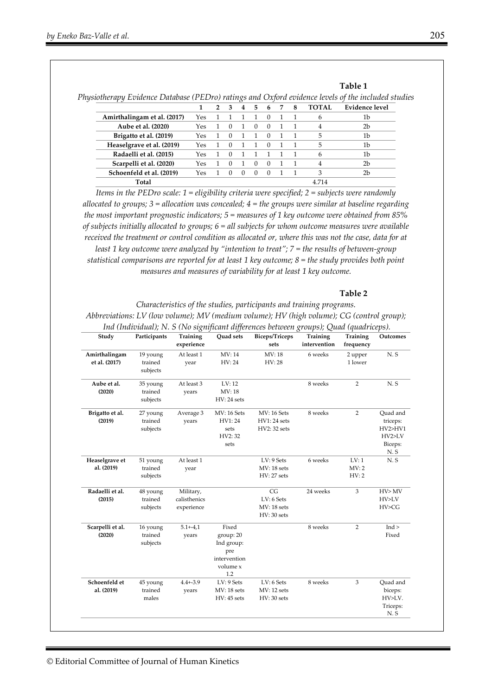|                             |     |  | 4 | 5  | 6        | 8 | <b>TOTAL</b> | <b>Evidence level</b> |
|-----------------------------|-----|--|---|----|----------|---|--------------|-----------------------|
| Amirthalingam et al. (2017) | Yes |  |   |    |          |   | 6            | 1b                    |
| Aube et al. (2020)          | Yes |  |   |    | $\theta$ |   | 4            | 2b                    |
| Brigatto et al. (2019)      | Yes |  |   |    |          |   | 5            | 1b                    |
| Heaselgrave et al. (2019)   | Yes |  |   |    |          |   | 5            | 1b                    |
| Radaelli et al. (2015)      | Yes |  |   |    |          |   | 6            | 1b                    |
| Scarpelli et al. (2020)     | Yes |  |   | -0 | $\cup$   |   | 4            | 2b                    |
| Schoenfeld et al. (2019)    | Yes |  |   |    |          |   | 3            | 2b                    |
| Total                       |     |  |   |    |          |   | 4.714        |                       |

*Physiotherapy Evidence Database (PEDro) ratings and Oxford evidence levels of the included studies*

*Items in the PEDro scale: 1 = eligibility criteria were specified; 2 = subjects were randomly allocated to groups; 3 = allocation was concealed; 4 = the groups were similar at baseline regarding the most important prognostic indicators; 5 = measures of 1 key outcome were obtained from 85% of subjects initially allocated to groups; 6 = all subjects for whom outcome measures were available received the treatment or control condition as allocated or, where this was not the case, data for at least 1 key outcome were analyzed by "intention to treat"; 7 = the results of between-group statistical comparisons are reported for at least 1 key outcome; 8 = the study provides both point measures and measures of variability for at least 1 key outcome.* 

#### **Table 2**

**Table 1** 

*Characteristics of the studies, participants and training programs. Abbreviations: LV (low volume); MV (medium volume); HV (high volume); CG (control group); Ind (Individual); N. S (No significant differences between groups); Quad (quadriceps).* 

| Study            | Participants        | Training<br>experience | <b>Ouad sets</b> | <b>Biceps/Triceps</b><br>sets | Training<br>intervention | Training<br>frequency | Outcomes        |
|------------------|---------------------|------------------------|------------------|-------------------------------|--------------------------|-----------------------|-----------------|
| Amirthalingam    | 19 young            | At least 1             | MV: 14           | MV: 18                        | 6 weeks                  | 2 upper               | N.S             |
| et al. (2017)    | trained<br>subjects | year                   | HV: 24           | HV: 28                        |                          | 1 lower               |                 |
| Aube et al.      | 35 young            | At least 3             | LV: 12           |                               | 8 weeks                  | $\overline{2}$        | N.S             |
| (2020)           | trained             | years                  | MV: 18           |                               |                          |                       |                 |
|                  | subjects            |                        | HV: 24 sets      |                               |                          |                       |                 |
| Brigatto et al.  | 27 young            | Average 3              | MV: 16 Sets      | <b>MV: 16 Sets</b>            | 8 weeks                  | $\overline{2}$        | Quad and        |
| (2019)           | trained             | years                  | HV1:24           | <b>HV1: 24 sets</b>           |                          |                       | triceps:        |
|                  | subjects            |                        | sets             | HV2: 32 sets                  |                          |                       | HV2>HV1         |
|                  |                     |                        | HV2: 32          |                               |                          |                       | HV2>LV          |
|                  |                     |                        | sets             |                               |                          |                       | Biceps:         |
|                  |                     |                        |                  |                               |                          |                       | N.S             |
| Heaselgrave et   | 51 young            | At least 1             |                  | LV: 9 Sets                    | 6 weeks                  | LV:1                  | N.S             |
| al. (2019)       | trained             | year                   |                  | MV: 18 sets                   |                          | MV: 2                 |                 |
|                  | subjects            |                        |                  | <b>HV: 27 sets</b>            |                          | HV:2                  |                 |
| Radaelli et al.  | 48 young            | Military,              |                  | CG                            | 24 weeks                 | 3                     | HV>MV           |
| (2015)           | trained             | calisthenics           |                  | LV: 6 Sets                    |                          |                       | HV>LV           |
|                  | subjects            | experience             |                  | MV: 18 sets                   |                          |                       | HV>CG           |
|                  |                     |                        |                  | HV: 30 sets                   |                          |                       |                 |
| Scarpelli et al. | 16 young            | $5.1 + -4.1$           | Fixed            |                               | 8 weeks                  | $\overline{2}$        | Ind             |
| (2020)           | trained             | years                  | group: 20        |                               |                          |                       | Fixed           |
|                  | subjects            |                        | Ind group:       |                               |                          |                       |                 |
|                  |                     |                        | pre              |                               |                          |                       |                 |
|                  |                     |                        | intervention     |                               |                          |                       |                 |
|                  |                     |                        | volume x         |                               |                          |                       |                 |
|                  |                     |                        | 1.2              |                               |                          |                       |                 |
| Schoenfeld et    | 45 young            | $4.4 + -3.9$           | LV: 9 Sets       | LV: 6 Sets                    | 8 weeks                  | 3                     | Quad and        |
| al. (2019)       | trained             | years                  | MV: 18 sets      | MV: 12 sets                   |                          |                       | biceps:         |
|                  | males               |                        | $HV:45$ sets     | HV: 30 sets                   |                          |                       | HV>LV.          |
|                  |                     |                        |                  |                               |                          |                       | Triceps:<br>N.S |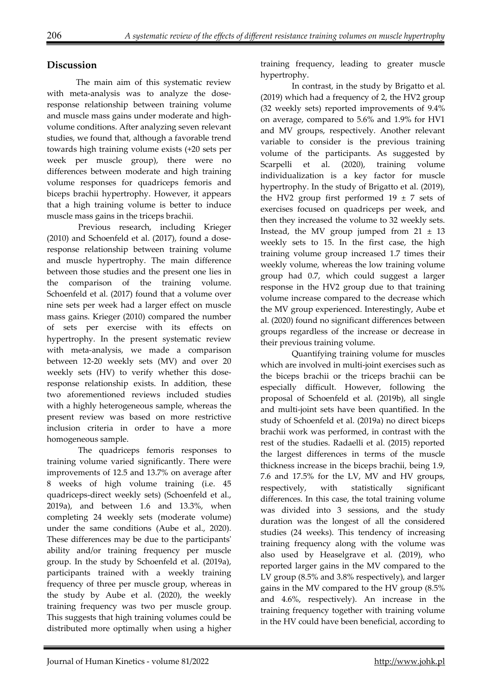## **Discussion**

The main aim of this systematic review with meta-analysis was to analyze the doseresponse relationship between training volume and muscle mass gains under moderate and highvolume conditions. After analyzing seven relevant studies, we found that, although a favorable trend towards high training volume exists (+20 sets per week per muscle group), there were no differences between moderate and high training volume responses for quadriceps femoris and biceps brachii hypertrophy. However, it appears that a high training volume is better to induce muscle mass gains in the triceps brachii.

 Previous research, including Krieger (2010) and Schoenfeld et al. (2017), found a doseresponse relationship between training volume and muscle hypertrophy. The main difference between those studies and the present one lies in the comparison of the training volume. Schoenfeld et al. (2017) found that a volume over nine sets per week had a larger effect on muscle mass gains. Krieger (2010) compared the number of sets per exercise with its effects on hypertrophy. In the present systematic review with meta-analysis, we made a comparison between 12-20 weekly sets (MV) and over 20 weekly sets (HV) to verify whether this doseresponse relationship exists. In addition, these two aforementioned reviews included studies with a highly heterogeneous sample, whereas the present review was based on more restrictive inclusion criteria in order to have a more homogeneous sample.

 The quadriceps femoris responses to training volume varied significantly. There were improvements of 12.5 and 13.7% on average after 8 weeks of high volume training (i.e. 45 quadriceps-direct weekly sets) (Schoenfeld et al., 2019a), and between 1.6 and 13.3%, when completing 24 weekly sets (moderate volume) under the same conditions (Aube et al., 2020). These differences may be due to the participants' ability and/or training frequency per muscle group. In the study by Schoenfeld et al. (2019a), participants trained with a weekly training frequency of three per muscle group, whereas in the study by Aube et al. (2020), the weekly training frequency was two per muscle group. This suggests that high training volumes could be distributed more optimally when using a higher

training frequency, leading to greater muscle hypertrophy.

 In contrast, in the study by Brigatto et al. (2019) which had a frequency of 2, the HV2 group (32 weekly sets) reported improvements of 9.4% on average, compared to 5.6% and 1.9% for HV1 and MV groups, respectively. Another relevant variable to consider is the previous training volume of the participants. As suggested by Scarpelli et al. (2020), training volume individualization is a key factor for muscle hypertrophy. In the study of Brigatto et al. (2019), the HV2 group first performed  $19 \pm 7$  sets of exercises focused on quadriceps per week, and then they increased the volume to 32 weekly sets. Instead, the MV group jumped from  $21 \pm 13$ weekly sets to 15. In the first case, the high training volume group increased 1.7 times their weekly volume, whereas the low training volume group had 0.7, which could suggest a larger response in the HV2 group due to that training volume increase compared to the decrease which the MV group experienced. Interestingly, Aube et al. (2020) found no significant differences between groups regardless of the increase or decrease in their previous training volume.

 Quantifying training volume for muscles which are involved in multi-joint exercises such as the biceps brachii or the triceps brachii can be especially difficult. However, following the proposal of Schoenfeld et al. (2019b), all single and multi-joint sets have been quantified. In the study of Schoenfeld et al. (2019a) no direct biceps brachii work was performed, in contrast with the rest of the studies. Radaelli et al. (2015) reported the largest differences in terms of the muscle thickness increase in the biceps brachii, being 1.9, 7.6 and 17.5% for the LV, MV and HV groups, respectively, with statistically significant differences. In this case, the total training volume was divided into 3 sessions, and the study duration was the longest of all the considered studies (24 weeks). This tendency of increasing training frequency along with the volume was also used by Heaselgrave et al. (2019), who reported larger gains in the MV compared to the LV group (8.5% and 3.8% respectively), and larger gains in the MV compared to the HV group (8.5% and 4.6%, respectively). An increase in the training frequency together with training volume in the HV could have been beneficial, according to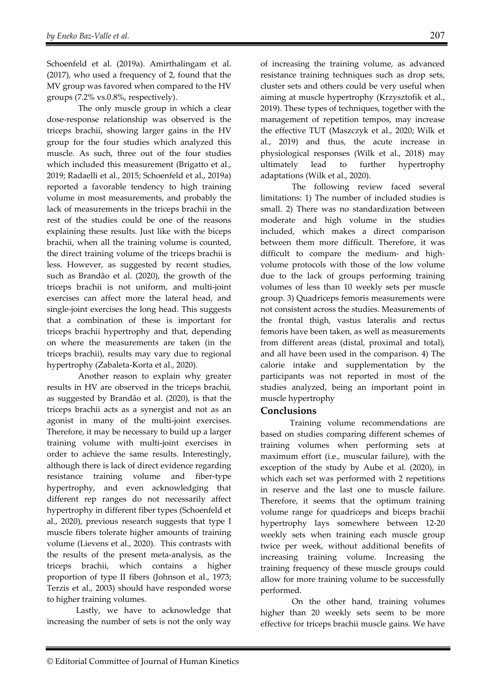Schoenfeld et al. (2019a). Amirthalingam et al. (2017), who used a frequency of 2, found that the MV group was favored when compared to the HV groups (7.2% vs.0.8%, respectively).

 The only muscle group in which a clear dose-response relationship was observed is the triceps brachii, showing larger gains in the HV group for the four studies which analyzed this muscle. As such, three out of the four studies which included this measurement (Brigatto et al., 2019; Radaelli et al., 2015; Schoenfeld et al., 2019a) reported a favorable tendency to high training volume in most measurements, and probably the lack of measurements in the triceps brachii in the rest of the studies could be one of the reasons explaining these results. Just like with the biceps brachii, when all the training volume is counted, the direct training volume of the triceps brachii is less. However, as suggested by recent studies, such as Brandão et al. (2020), the growth of the triceps brachii is not uniform, and multi-joint exercises can affect more the lateral head, and single-joint exercises the long head. This suggests that a combination of these is important for triceps brachii hypertrophy and that, depending on where the measurements are taken (in the triceps brachii), results may vary due to regional hypertrophy (Zabaleta-Korta et al., 2020).

 Another reason to explain why greater results in HV are observed in the triceps brachii, as suggested by Brandão et al. (2020), is that the triceps brachii acts as a synergist and not as an agonist in many of the multi-joint exercises. Therefore, it may be necessary to build up a larger training volume with multi-joint exercises in order to achieve the same results. Interestingly, although there is lack of direct evidence regarding resistance training volume and fiber-type hypertrophy, and even acknowledging that different rep ranges do not necessarily affect hypertrophy in different fiber types (Schoenfeld et al., 2020), previous research suggests that type I muscle fibers tolerate higher amounts of training volume (Lievens et al., 2020). This contrasts with the results of the present meta-analysis, as the triceps brachii, which contains a higher proportion of type II fibers (Johnson et al., 1973; Terzis et al., 2003) should have responded worse to higher training volumes.

Lastly, we have to acknowledge that increasing the number of sets is not the only way

of increasing the training volume, as advanced resistance training techniques such as drop sets, cluster sets and others could be very useful when aiming at muscle hypertrophy (Krzysztofik et al., 2019). These types of techniques, together with the management of repetition tempos, may increase the effective TUT (Maszczyk et al., 2020; Wilk et al., 2019) and thus, the acute increase in physiological responses (Wilk et al., 2018) may ultimately lead to further hypertrophy

adaptations (Wilk et al., 2020). The following review faced several limitations: 1) The number of included studies is small. 2) There was no standardization between moderate and high volume in the studies included, which makes a direct comparison between them more difficult. Therefore, it was difficult to compare the medium- and highvolume protocols with those of the low volume due to the lack of groups performing training volumes of less than 10 weekly sets per muscle group. 3) Quadriceps femoris measurements were not consistent across the studies. Measurements of the frontal thigh, vastus lateralis and rectus femoris have been taken, as well as measurements from different areas (distal, proximal and total), and all have been used in the comparison. 4) The calorie intake and supplementation by the participants was not reported in most of the studies analyzed, being an important point in muscle hypertrophy

#### **Conclusions**

Training volume recommendations are based on studies comparing different schemes of training volumes when performing sets at maximum effort (i.e., muscular failure), with the exception of the study by Aube et al. (2020), in which each set was performed with 2 repetitions in reserve and the last one to muscle failure. Therefore, it seems that the optimum training volume range for quadriceps and biceps brachii hypertrophy lays somewhere between 12-20 weekly sets when training each muscle group twice per week, without additional benefits of increasing training volume. Increasing the training frequency of these muscle groups could allow for more training volume to be successfully performed.

 On the other hand, training volumes higher than 20 weekly sets seem to be more effective for triceps brachii muscle gains. We have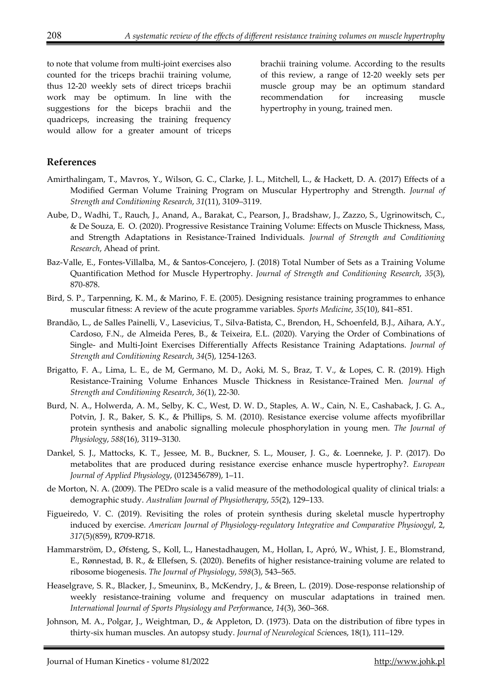to note that volume from multi-joint exercises also counted for the triceps brachii training volume, thus 12-20 weekly sets of direct triceps brachii work may be optimum. In line with the suggestions for the biceps brachii and the quadriceps, increasing the training frequency would allow for a greater amount of triceps

brachii training volume. According to the results of this review, a range of 12-20 weekly sets per muscle group may be an optimum standard recommendation for increasing muscle hypertrophy in young, trained men.

## **References**

- Amirthalingam, T., Mavros, Y., Wilson, G. C., Clarke, J. L., Mitchell, L., & Hackett, D. A. (2017) Effects of a Modified German Volume Training Program on Muscular Hypertrophy and Strength. *Journal of Strength and Conditioning Research*, *31*(11), 3109–3119.
- Aube, D., Wadhi, T., Rauch, J., Anand, A., Barakat, C., Pearson, J., Bradshaw, J., Zazzo, S., Ugrinowitsch, C., & De Souza, E. O. (2020). Progressive Resistance Training Volume: Effects on Muscle Thickness, Mass, and Strength Adaptations in Resistance-Trained Individuals. *Journal of Strength and Conditioning Research*, Ahead of print.
- Baz-Valle, E., Fontes-Villalba, M., & Santos-Concejero, J. (2018) Total Number of Sets as a Training Volume Quantification Method for Muscle Hypertrophy. *Journal of Strength and Conditioning Research*, *35*(3), 870-878.
- Bird, S. P., Tarpenning, K. M., & Marino, F. E. (2005). Designing resistance training programmes to enhance muscular fitness: A review of the acute programme variables. *Sports Medicine*, *35*(10), 841–851.
- Brandão, L., de Salles Painelli, V., Lasevicius, T., Silva-Batista, C., Brendon, H., Schoenfeld, B.J., Aihara, A.Y., Cardoso, F.N., de Almeida Peres, B., & Teixeira, E.L. (2020). Varying the Order of Combinations of Single- and Multi-Joint Exercises Differentially Affects Resistance Training Adaptations. *Journal of Strength and Conditioning Research*, *34*(5), 1254-1263.
- Brigatto, F. A., Lima, L. E., de M, Germano, M. D., Aoki, M. S., Braz, T. V., & Lopes, C. R. (2019). High Resistance-Training Volume Enhances Muscle Thickness in Resistance-Trained Men. *Journal of Strength and Conditioning Research*, *36*(1), 22-30.
- Burd, N. A., Holwerda, A. M., Selby, K. C., West, D. W. D., Staples, A. W., Cain, N. E., Cashaback, J. G. A., Potvin, J. R., Baker, S. K., & Phillips, S. M. (2010). Resistance exercise volume affects myofibrillar protein synthesis and anabolic signalling molecule phosphorylation in young men. *The Journal of Physiology*, *588*(16), 3119–3130.
- Dankel, S. J., Mattocks, K. T., Jessee, M. B., Buckner, S. L., Mouser, J. G., &. Loenneke, J. P. (2017). Do metabolites that are produced during resistance exercise enhance muscle hypertrophy?. *European Journal of Applied Physiology*, (0123456789), 1–11.
- de Morton, N. A. (2009). The PEDro scale is a valid measure of the methodological quality of clinical trials: a demographic study. *Australian Journal of Physiotherapy*, *55*(2), 129–133.
- Figueiredo, V. C. (2019). Revisiting the roles of protein synthesis during skeletal muscle hypertrophy induced by exercise. *American Journal of Physiology-regulatory Integrative and Comparative Physioogyl*, 2, *317*(5)(859), R709-R718.
- Hammarström, D., Øfsteng, S., Koll, L., Hanestadhaugen, M., Hollan, I., Apró, W., Whist, J. E., Blomstrand, E., Rønnestad, B. R., & Ellefsen, S. (2020). Benefits of higher resistance-training volume are related to ribosome biogenesis. *The Journal of Physiology*, *598*(3), 543–565.
- Heaselgrave, S. R., Blacker, J., Smeuninx, B., McKendry, J., & Breen, L. (2019). Dose-response relationship of weekly resistance-training volume and frequency on muscular adaptations in trained men. *International Journal of Sports Physiology and Perform*ance, *14*(3), 360–368.
- Johnson, M. A., Polgar, J., Weightman, D., & Appleton, D. (1973). Data on the distribution of fibre types in thirty-six human muscles. An autopsy study. *Journal of Neurological Sci*ences, 18(1), 111–129.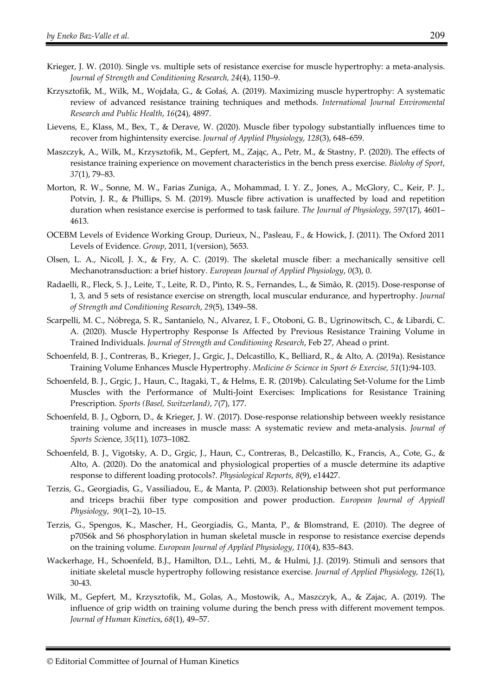- Krieger, J. W. (2010). Single vs. multiple sets of resistance exercise for muscle hypertrophy: a meta-analysis. *Journal of Strength and Conditioning Research, 24*(4), 1150–9.
- Krzysztofik, M., Wilk, M., Wojdała, G., & Gołaś, A. (2019). Maximizing muscle hypertrophy: A systematic review of advanced resistance training techniques and methods. *International Journal Enviromental Research and Public Health*, *16*(24), 4897.
- Lievens, E., Klass, M., Bex, T., & Derave, W. (2020). Muscle fiber typology substantially influences time to recover from highintensity exercise. *Journal of Applied Physiology*, *128*(3), 648–659.
- Maszczyk, A., Wilk, M., Krzysztofik, M., Gepfert, M., Zając, A., Petr, M., & Stastny, P. (2020). The effects of resistance training experience on movement characteristics in the bench press exercise. *Biolohy of Sport*, *37*(1), 79–83.
- Morton, R. W., Sonne, M. W., Farias Zuniga, A., Mohammad, I. Y. Z., Jones, A., McGlory, C., Keir, P. J., Potvin, J. R., & Phillips, S. M. (2019). Muscle fibre activation is unaffected by load and repetition duration when resistance exercise is performed to task failure. *The Journal of Physiology*, *597*(17), 4601– 4613.
- OCEBM Levels of Evidence Working Group, Durieux, N., Pasleau, F., & Howick, J. (2011). The Oxford 2011 Levels of Evidence. *Group*, 2011, 1(version), 5653.
- Olsen, L. A., Nicoll, J. X., & Fry, A. C. (2019). The skeletal muscle fiber: a mechanically sensitive cell Mechanotransduction: a brief history. *European Journal of Applied Physiology*, *0*(3), 0.
- Radaelli, R., Fleck, S. J., Leite, T., Leite, R. D., Pinto, R. S., Fernandes, L., & Simão, R. (2015). Dose-response of 1, 3, and 5 sets of resistance exercise on strength, local muscular endurance, and hypertrophy. *Journal of Strength and Conditioning Research*, *29*(5), 1349–58.
- Scarpelli, M. C., Nóbrega, S. R., Santanielo, N., Alvarez, I. F., Otoboni, G. B., Ugrinowitsch, C., & Libardi, C. A. (2020). Muscle Hypertrophy Response Is Affected by Previous Resistance Training Volume in Trained Individuals. *Journal of Strength and Conditioning Research*, Feb 27, Ahead o print.
- Schoenfeld, B. J., Contreras, B., Krieger, J., Grgic, J., Delcastillo, K., Belliard, R., & Alto, A. (2019a). Resistance Training Volume Enhances Muscle Hypertrophy. *Medicine & Science in Sport & Exercise, 51*(1):94-103.
- Schoenfeld, B. J., Grgic, J., Haun, C., Itagaki, T., & Helms, E. R. (2019b). Calculating Set-Volume for the Limb Muscles with the Performance of Multi-Joint Exercises: Implications for Resistance Training Prescription. *Sports (Basel, Switzerland)*, *7*(7), 177.
- Schoenfeld, B. J., Ogborn, D., & Krieger, J. W. (2017). Dose-response relationship between weekly resistance training volume and increases in muscle mass: A systematic review and meta-analysis. *Journal of Sports Sci*ence, *35*(11), 1073–1082.
- Schoenfeld, B. J., Vigotsky, A. D., Grgic, J., Haun, C., Contreras, B., Delcastillo, K., Francis, A., Cote, G., & Alto, A. (2020). Do the anatomical and physiological properties of a muscle determine its adaptive response to different loading protocols?. *Physiological Reports*, *8*(9), e14427.
- Terzis, G., Georgiadis, G., Vassiliadou, E., & Manta, P. (2003). Relationship between shot put performance and triceps brachii fiber type composition and power production. *European Journal of Appiedl Physiology*, *90*(1–2), 10–15.
- Terzis, G., Spengos, K., Mascher, H., Georgiadis, G., Manta, P., & Blomstrand, E. (2010). The degree of p70S6k and S6 phosphorylation in human skeletal muscle in response to resistance exercise depends on the training volume. *European Journal of Applied Physiology*, *110*(4), 835–843.
- Wackerhage, H., Schoenfeld, B.J., Hamilton, D.L., Lehti, M., & Hulmi, J.J. (2019). Stimuli and sensors that initiate skeletal muscle hypertrophy following resistance exercise. *Journal of Applied Physiology, 126*(1), 30-43.
- Wilk, M., Gepfert, M., Krzysztofik, M., Golas, A., Mostowik, A., Maszczyk, A., & Zajac, A. (2019). The influence of grip width on training volume during the bench press with different movement tempos. *Journal of Human Kinetic*s, *68*(1), 49–57.